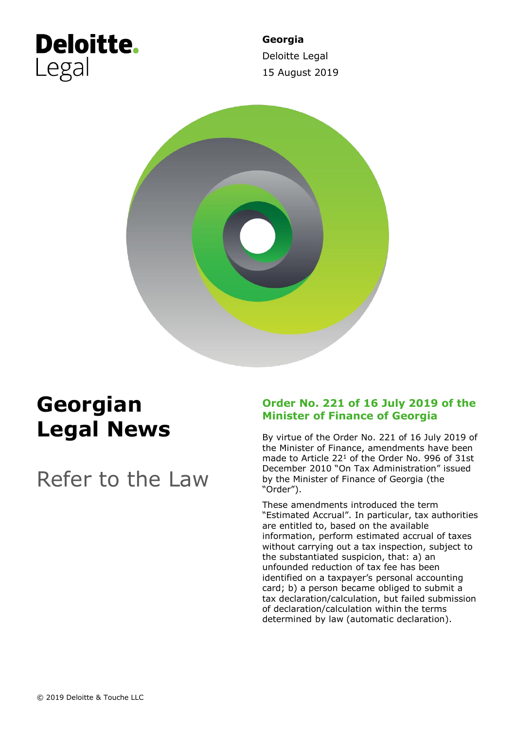# **Deloitte.** Legal

**Georgia** Deloitte Legal 15 August 2019



## **Georgian Legal News**

Refer to the Law

### **Order No. 221 of 16 July 2019 of the Minister of Finance of Georgia**

By virtue of the Order No. 221 of 16 July 2019 of the Minister of Finance, amendments have been made to Article 22<sup>1</sup> of the Order No. 996 of 31st December 2010 "On Tax Administration" issued by the Minister of Finance of Georgia (the "Order").

These amendments introduced the term "Estimated Accrual". In particular, tax authorities are entitled to, based on the available information, perform estimated accrual of taxes without carrying out a tax inspection, subject to the substantiated suspicion, that: a) an unfounded reduction of tax fee has been identified on a taxpayer's personal accounting card; b) a person became obliged to submit a tax declaration/calculation, but failed submission of declaration/calculation within the terms determined by law (automatic declaration).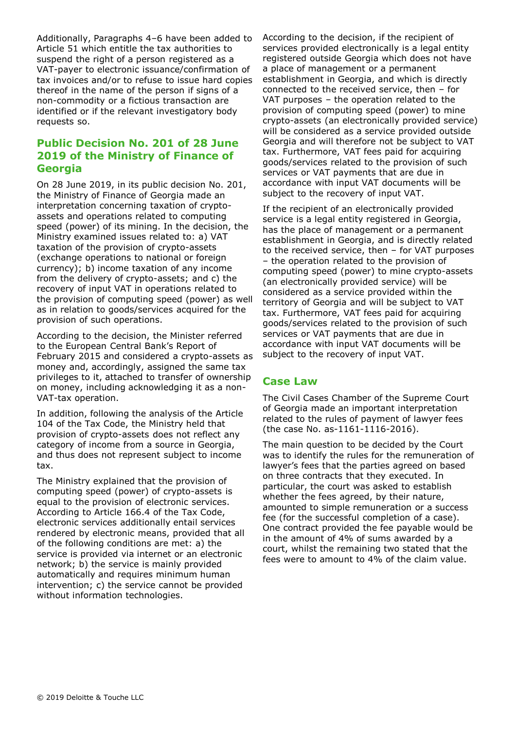Additionally, Paragraphs 4–6 have been added to Article 51 which entitle the tax authorities to suspend the right of a person registered as a VAT-payer to electronic issuance/confirmation of tax invoices and/or to refuse to issue hard copies thereof in the name of the person if signs of a non-commodity or a fictious transaction are identified or if the relevant investigatory body requests so.

#### **Public Decision No. 201 of 28 June 2019 of the Ministry of Finance of Georgia**

On 28 June 2019, in its public decision No. 201, the Ministry of Finance of Georgia made an interpretation concerning taxation of cryptoassets and operations related to computing speed (power) of its mining. In the decision, the Ministry examined issues related to: a) VAT taxation of the provision of crypto-assets (exchange operations to national or foreign currency); b) income taxation of any income from the delivery of crypto-assets; and c) the recovery of input VAT in operations related to the provision of computing speed (power) as well as in relation to goods/services acquired for the provision of such operations.

According to the decision, the Minister referred to the European Central Bank's Report of February 2015 and considered a crypto-assets as money and, accordingly, assigned the same tax privileges to it, attached to transfer of ownership on money, including acknowledging it as a non-VAT-tax operation.

In addition, following the analysis of the Article 104 of the Tax Code, the Ministry held that provision of crypto-assets does not reflect any category of income from a source in Georgia, and thus does not represent subject to income tax.

The Ministry explained that the provision of computing speed (power) of crypto-assets is equal to the provision of electronic services. According to Article 166.4 of the Tax Code, electronic services additionally entail services rendered by electronic means, provided that all of the following conditions are met: a) the service is provided via internet or an electronic network; b) the service is mainly provided automatically and requires minimum human intervention; c) the service cannot be provided without information technologies.

According to the decision, if the recipient of services provided electronically is a legal entity registered outside Georgia which does not have a place of management or a permanent establishment in Georgia, and which is directly connected to the received service, then – for VAT purposes – the operation related to the provision of computing speed (power) to mine crypto-assets (an electronically provided service) will be considered as a service provided outside Georgia and will therefore not be subject to VAT tax. Furthermore, VAT fees paid for acquiring goods/services related to the provision of such services or VAT payments that are due in accordance with input VAT documents will be subject to the recovery of input VAT.

If the recipient of an electronically provided service is a legal entity registered in Georgia, has the place of management or a permanent establishment in Georgia, and is directly related to the received service, then – for VAT purposes – the operation related to the provision of computing speed (power) to mine crypto-assets (an electronically provided service) will be considered as a service provided within the territory of Georgia and will be subject to VAT tax. Furthermore, VAT fees paid for acquiring goods/services related to the provision of such services or VAT payments that are due in accordance with input VAT documents will be subject to the recovery of input VAT.

#### **Case Law**

The Civil Cases Chamber of the Supreme Court of Georgia made an important interpretation related to the rules of payment of lawyer fees (the case No. as-1161-1116-2016).

The main question to be decided by the Court was to identify the rules for the remuneration of lawyer's fees that the parties agreed on based on three contracts that they executed. In particular, the court was asked to establish whether the fees agreed, by their nature, amounted to simple remuneration or a success fee (for the successful completion of a case). One contract provided the fee payable would be in the amount of 4% of sums awarded by a court, whilst the remaining two stated that the fees were to amount to 4% of the claim value.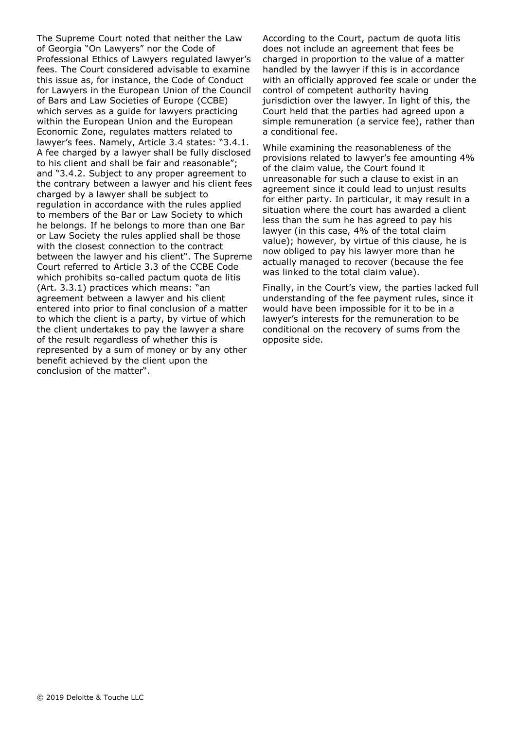The Supreme Court noted that neither the Law of Georgia "On Lawyers" nor the Code of Professional Ethics of Lawyers regulated lawyer's fees. The Court considered advisable to examine this issue as, for instance, the Code of Conduct for Lawyers in the European Union of the Council of Bars and Law Societies of Europe (CCBE) which serves as a guide for lawyers practicing within the European Union and the European Economic Zone, regulates matters related to lawyer's fees. Namely, Article 3.4 states: "3.4.1. A fee charged by a lawyer shall be fully disclosed to his client and shall be fair and reasonable"; and "3.4.2. Subject to any proper agreement to the contrary between a lawyer and his client fees charged by a lawyer shall be subject to regulation in accordance with the rules applied to members of the Bar or Law Society to which he belongs. If he belongs to more than one Bar or Law Society the rules applied shall be those with the closest connection to the contract between the lawyer and his client". The Supreme Court referred to Article 3.3 of the CCBE Code which prohibits so-called pactum quota de litis (Art. 3.3.1) practices which means: "an agreement between a lawyer and his client entered into prior to final conclusion of a matter to which the client is a party, by virtue of which the client undertakes to pay the lawyer a share of the result regardless of whether this is represented by a sum of money or by any other benefit achieved by the client upon the conclusion of the matter".

According to the Court, pactum de quota litis does not include an agreement that fees be charged in proportion to the value of a matter handled by the lawyer if this is in accordance with an officially approved fee scale or under the control of competent authority having jurisdiction over the lawyer. In light of this, the Court held that the parties had agreed upon a simple remuneration (a service fee), rather than a conditional fee.

While examining the reasonableness of the provisions related to lawyer's fee amounting 4% of the claim value, the Court found it unreasonable for such a clause to exist in an agreement since it could lead to unjust results for either party. In particular, it may result in a situation where the court has awarded a client less than the sum he has agreed to pay his lawyer (in this case, 4% of the total claim value); however, by virtue of this clause, he is now obliged to pay his lawyer more than he actually managed to recover (because the fee was linked to the total claim value).

Finally, in the Court's view, the parties lacked full understanding of the fee payment rules, since it would have been impossible for it to be in a lawyer's interests for the remuneration to be conditional on the recovery of sums from the opposite side.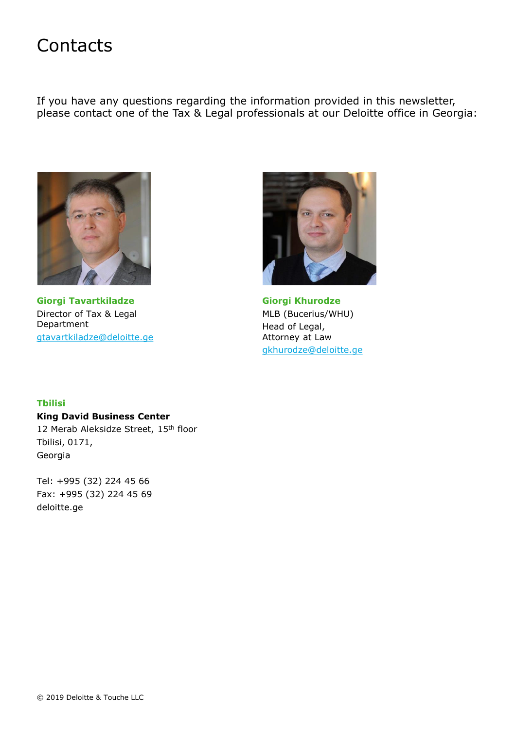### **Contacts**

If you have any questions regarding the information provided in this newsletter, please contact one of the Tax & Legal professionals at our Deloitte office in Georgia:



**Giorgi Tavartkiladze** Director of Tax & Legal Department [gtavartkiladze@deloitte.ge](mailto:gtavartkiladze@deloitte.ge)



**Giorgi Khurodze** MLB (Bucerius/WHU) Head of Legal, Attorney at Law [gkhurodze@deloitte.ge](mailto:gkhurodze@deloitte.ge)

#### **Tbilisi**

**King David Business Center** 12 Merab Aleksidze Street, 15th floor Tbilisi, 0171, Georgia

Tel: +995 (32) 224 45 66 Fax: +995 (32) 224 45 69 deloitte.ge